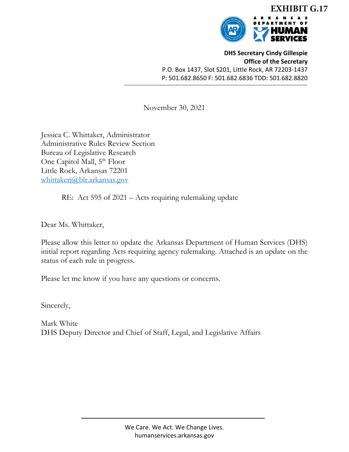

**DHS Secretary Cindy Gillespie Office of the Secretary** P.O. Box 1437, Slot S201, Little Rock, AR 72203‐1437 P: 501.682.8650 F: 501.682.6836 TDD: 501.682.8820

November 30, 2021

Jessica C. Whittaker, Administrator Administrative Rules Review Section Bureau of Legislative Research One Capitol Mall, 5<sup>th</sup> Floor Little Rock, Arkansas 72201 whittakerj@blr.arkansas.gov

RE: Act 595 of 2021 – Acts requiring rulemaking update

Dear Ms. Whittaker,

Please allow this letter to update the Arkansas Department of Human Services (DHS) initial report regarding Acts requiring agency rulemaking. Attached is an update on the status of each rule in progress.

Please let me know if you have any questions or concerns.

Sincerely,

Mark White DHS Deputy Director and Chief of Staff, Legal, and Legislative Affairs